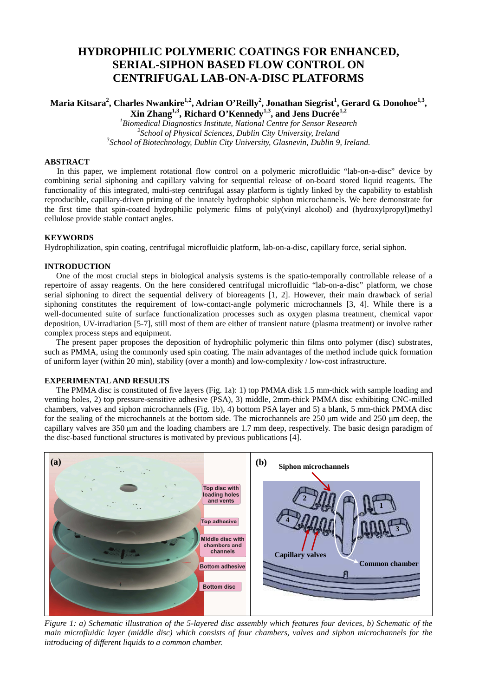# **HYDROPHILIC POLYMERIC COATINGS FOR ENHANCED, SERIAL-SIPHON BASED FLOW CONTROL ON CENTRIFUGAL LAB-ON-A-DISC PLATFORMS**

# **Maria Kitsara<sup>2</sup> , Charles Nwankire1,2, Adrian O'Reilly<sup>2</sup> , Jonathan Siegrist<sup>1</sup> , Gerard G. Donohoe1,3 , Xin Zhang1,3 , Richard O'Kennedy1,3, and Jens Ducrée1,2**

*<sup>1</sup>Biomedical Diagnostics Institute, National Centre for Sensor Research 2 School of Physical Sciences, Dublin City University, Ireland 3 School of Biotechnology, Dublin City University, Glasnevin, Dublin 9, Ireland.* 

# **ABSTRACT**

 In this paper, we implement rotational flow control on a polymeric microfluidic "lab-on-a-disc" device by combining serial siphoning and capillary valving for sequential release of on-board stored liquid reagents. The functionality of this integrated, multi-step centrifugal assay platform is tightly linked by the capability to establish reproducible, capillary-driven priming of the innately hydrophobic siphon microchannels. We here demonstrate for the first time that spin-coated hydrophilic polymeric films of poly(vinyl alcohol) and (hydroxylpropyl)methyl cellulose provide stable contact angles.

# **KEYWORDS**

Hydrophilization, spin coating, centrifugal microfluidic platform, lab-on-a-disc, capillary force, serial siphon.

# **INTRODUCTION**

One of the most crucial steps in biological analysis systems is the spatio-temporally controllable release of a repertoire of assay reagents. On the here considered centrifugal microfluidic "lab-on-a-disc" platform, we chose serial siphoning to direct the sequential delivery of bioreagents [1, 2]. However, their main drawback of serial siphoning constitutes the requirement of low-contact-angle polymeric microchannels [3, 4]. While there is a well-documented suite of surface functionalization processes such as oxygen plasma treatment, chemical vapor deposition, UV-irradiation [5-7], still most of them are either of transient nature (plasma treatment) or involve rather complex process steps and equipment.

The present paper proposes the deposition of hydrophilic polymeric thin films onto polymer (disc) substrates, such as PMMA, using the commonly used spin coating. The main advantages of the method include quick formation of uniform layer (within 20 min), stability (over a month) and low-complexity / low-cost infrastructure.

#### **EXPERIMENTAL AND RESULTS**

The PMMA disc is constituted of five layers (Fig. 1a): 1) top PMMA disk 1.5 mm-thick with sample loading and venting holes, 2) top pressure-sensitive adhesive (PSA), 3) middle, 2mm-thick PMMA disc exhibiting CNC-milled chambers, valves and siphon microchannels (Fig. 1b), 4) bottom PSA layer and 5) a blank, 5 mm-thick PMMA disc for the sealing of the microchannels at the bottom side. The microchannels are 250 µm wide and 250 µm deep, the capillary valves are 350 µm and the loading chambers are 1.7 mm deep, respectively. The basic design paradigm of the disc-based functional structures is motivated by previous publications [4].



*Figure 1: a) Schematic illustration of the 5-layered disc assembly which features four devices, b) Schematic of the main microfluidic layer (middle disc) which consists of four chambers, valves and siphon microchannels for the introducing of different liquids to a common chamber.*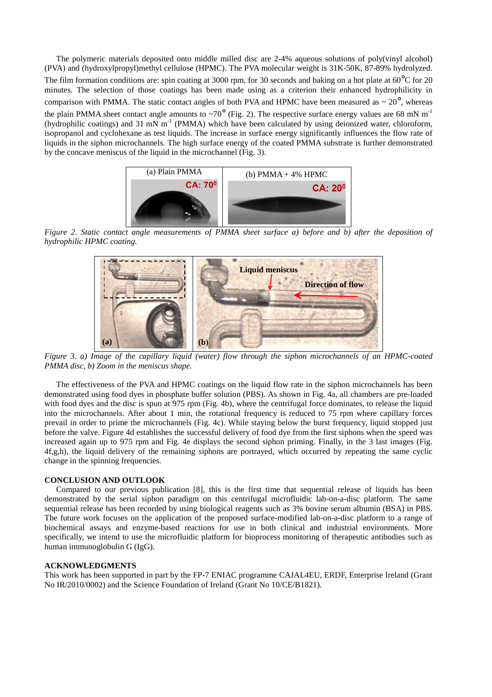The polymeric materials deposited onto middle milled disc are 2-4% aqueous solutions of poly(vinyl alcohol) (PVA) and (hydroxylpropyl)methyl cellulose (HPMC). The PVA molecular weight is 31K-50K, 87-89% hydrolyzed. The film formation conditions are: spin coating at 3000 rpm, for 30 seconds and baking on a hot plate at 60<sup>o</sup>C for 20 minutes. The selection of those coatings has been made using as a criterion their enhanced hydrophilicity in comparison with PMMA. The static contact angles of both PVA and HPMC have been measured as  $\sim 20^{\circ}$ , whereas the plain PMMA sheet contact angle amounts to  $\sim 70^{\circ}$  (Fig. 2). The respective surface energy values are 68 mN m<sup>-1</sup> (hydrophilic coatings) and 31 mN  $m^{-1}$  (PMMA) which have been calculated by using deionized water, chloroform, isopropanol and cyclohexane as test liquids. The increase in surface energy significantly influences the flow rate of liquids in the siphon microchannels. The high surface energy of the coated PMMA substrate is further demonstrated by the concave meniscus of the liquid in the microchannel (Fig. 3).



*Figure 2. Static contact angle measurements of PMMA sheet surface a) before and b) after the deposition of hydrophilic HPMC coating.* 



*Figure 3. a) Image of the capillary liquid (water) flow through the siphon microchannels of an HPMC-coated PMMA disc, b) Zoom in the meniscus shape.* 

The effectiveness of the PVA and HPMC coatings on the liquid flow rate in the siphon microchannels has been demonstrated using food dyes in phosphate buffer solution (PBS). As shown in Fig. 4a, all chambers are pre-loaded with food dyes and the disc is spun at 975 rpm (Fig. 4b), where the centrifugal force dominates, to release the liquid into the microchannels. After about 1 min, the rotational frequency is reduced to 75 rpm where capillary forces prevail in order to prime the microchannels (Fig. 4c). While staying below the burst frequency, liquid stopped just before the valve. Figure 4d establishes the successful delivery of food dye from the first siphons when the speed was increased again up to 975 rpm and Fig. 4e displays the second siphon priming. Finally, in the 3 last images (Fig. 4f,g,h), the liquid delivery of the remaining siphons are portrayed, which occurred by repeating the same cyclic change in the spinning frequencies.

#### **CONCLUSION AND OUTLOOK**

Compared to our previous publication [8], this is the first time that sequential release of liquids has been demonstrated by the serial siphon paradigm on this centrifugal microfluidic lab-on-a-disc platform. The same sequential release has been recorded by using biological reagents such as 3% bovine serum albumin (BSA) in PBS. The future work focuses on the application of the proposed surface-modified lab-on-a-disc platform to a range of biochemical assays and enzyme-based reactions for use in both clinical and industrial environments. More specifically, we intend to use the microfluidic platform for bioprocess monitoring of therapeutic antibodies such as human immunoglobulin G (IgG).

# **ACKNOWLEDGMENTS**

This work has been supported in part by the FP-7 ENIAC programme CAJAL4EU, ERDF, Enterprise Ireland (Grant No IR/2010/0002) and the Science Foundation of Ireland (Grant No 10/CE/B1821).